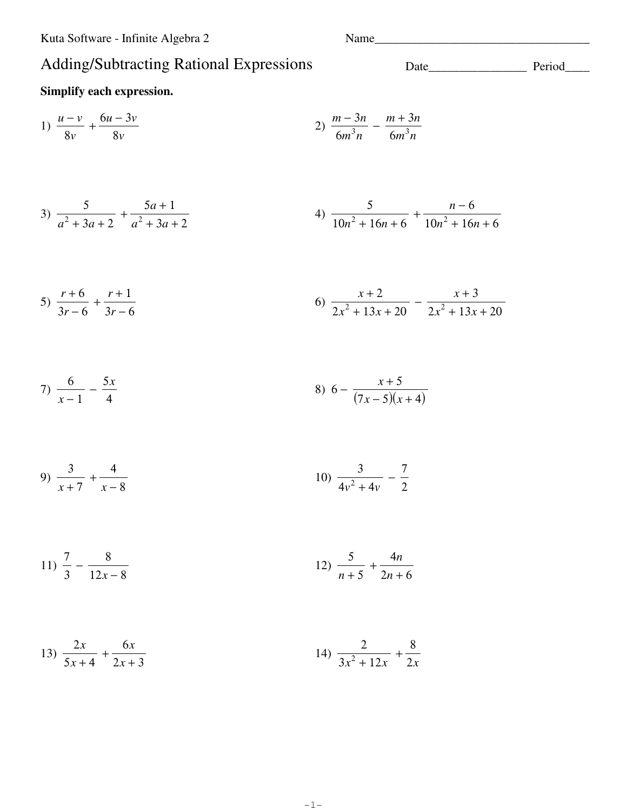## Adding/Subtracting Rational Expressions

Name

### Simplify each expression.

1) 
$$
\frac{u-v}{8v} + \frac{6u-3v}{8v}
$$
   
2)  $\frac{m-3n}{6m^3n} - \frac{m+3n}{6m^3n}$ 

3) 
$$
\frac{5}{a^2 + 3a + 2} + \frac{5a + 1}{a^2 + 3a + 2}
$$
 4)  $\frac{5}{10n^2 + 16n + 6} + \frac{n - 6}{10n^2 + 16n + 6}$ 

5) 
$$
\frac{r+6}{3r-6} + \frac{r+1}{3r-6}
$$
  
6)  $\frac{x+2}{2x^2+13x+20} - \frac{x+3}{2x^2+13x+20}$ 

7) 
$$
\frac{6}{x-1} - \frac{5x}{4}
$$
 8)  $6 - \frac{x+5}{(7x-5)(x+4)}$ 

9) 
$$
\frac{3}{x+7} + \frac{4}{x-8}
$$
   
10)  $\frac{3}{4v^2+4v} - \frac{7}{2}$ 

$$
11) \frac{7}{3} - \frac{8}{12x - 8}
$$
 
$$
12) \frac{5}{n+5} + \frac{4n}{2n+6}
$$

13) 
$$
\frac{2x}{5x+4} + \frac{6x}{2x+3}
$$
14) 
$$
\frac{2}{3x^2 + 12x} + \frac{8}{2x}
$$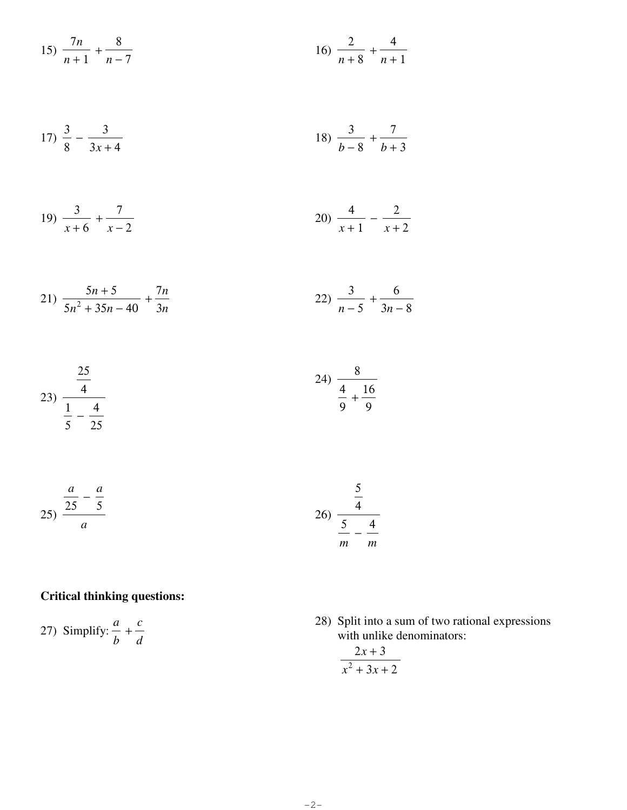15) 
$$
\frac{7n}{n+1} + \frac{8}{n-7}
$$
 16)  $\frac{2}{n+8} + \frac{4}{n+1}$ 

$$
17) \frac{3}{8} - \frac{3}{3x+4}
$$
 
$$
18) \frac{3}{b-8} + \frac{7}{b+3}
$$

$$
19) \frac{3}{x+6} + \frac{7}{x-2}
$$
 
$$
20) \frac{4}{x+1} - \frac{2}{x+2}
$$

$$
21) \frac{5n+5}{5n^2+35n-40} + \frac{7n}{3n}
$$
 
$$
22) \frac{3}{n-5} + \frac{6}{3n-8}
$$

$$
23) \frac{\frac{25}{4}}{\frac{1}{5} - \frac{4}{25}}
$$

$$
25) \frac{\frac{a}{25} - \frac{a}{5}}{a}
$$
 
$$
26) \frac{\frac{5}{4}}{\frac{5}{m} - \frac{4}{m}}
$$

### **Critical thinking questions:**

27) Simplify:  $\frac{a}{b} + \frac{c}{d}$ 

 $25\,$ 

28) Split into a sum of two rational expressions with unlike denominators:

$$
\frac{2x+3}{x^2+3x+2}
$$

 $-2-$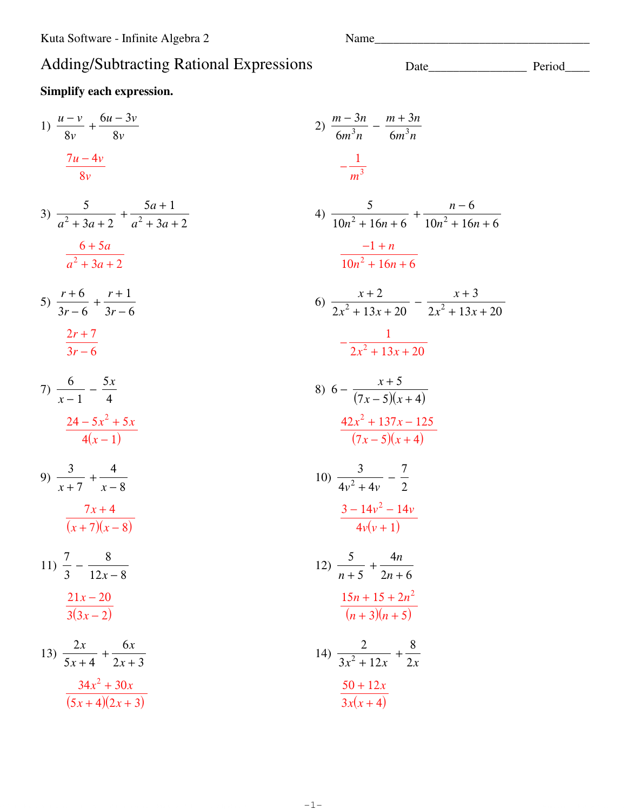Simplify each expression.

### Adding/Subtracting Rational Expressions

# $2n \t v$  $\pm$  3

1) 
$$
\frac{u-v}{8v} + \frac{6u-3v}{8v}
$$
  
\n2)  $\frac{m-3n}{6m^3n} - \frac{m+3n}{6m^3n}$   
\n3)  $\frac{5}{a^2 + 3a + 2} + \frac{5a + 1}{a^2 + 3a + 2}$   
\n4)  $\frac{5}{10n^2 + 16n + 6} + \frac{n-6}{10n^2 + 16n + 6}$   
\n $\frac{6+5a}{a^2 + 3a + 2}$   
\n5)  $\frac{r+6}{3r-6} + \frac{r+1}{3r-6}$   
\n6)  $\frac{x+2}{2x^2 + 13x + 20} - \frac{x+3}{2x^2 + 13x + 20}$   
\n7)  $\frac{6}{x-1} - \frac{5x}{4}$   
\n8)  $6 - \frac{x+5}{(7x-5)(x+4)}$   
\n9)  $\frac{3}{x+7} + \frac{4}{x-8}$   
\n10)  $\frac{3}{4v^2 + 4v} - \frac{7}{2}$   
\n $\frac{7x+4}{(x+7)(x-8)}$   
\n11)  $\frac{7}{3} - \frac{8}{12x-8}$   
\n12)  $\frac{5}{n+5} + \frac{4n}{2n+6}$   
\n13)  $\frac{2x}{5x+4} + \frac{6x}{2x+3}$   
\n14)  $\frac{25}{3x^2 + 13x + 20} - \frac{7}{2x+13x+20}$   
\n15)  $\frac{5}{3x+4} + \frac{4n}{2x+3}$   
\n16)  $\frac{42x^2 + 137x - 125}{4v^2 - 14v}$   
\n17)  $\frac{4}{3} - \frac{8}{12x-8}$   
\n18)  $\frac{2x}{3(3x-2)}$   
\n19)  $\frac{5}{4x+4} + \frac{6x}{2x+3}$   
\n11)  $\frac{2}{3(x+4)(2x+3)}$   
\n12)  $\frac{5}{n+5} + \frac{4n}{2n+6}$   
\n1

 $-1-$